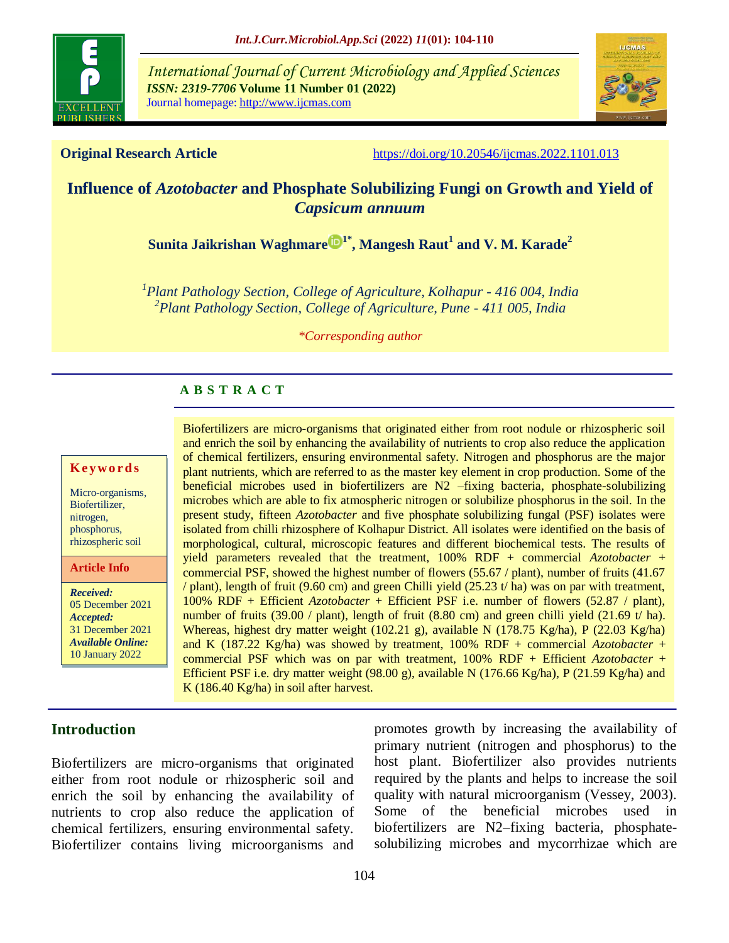

*International Journal of Current Microbiology and Applied Sciences ISSN: 2319-7706* **Volume 11 Number 01 (2022)**  Journal homepage: http://www.ijcmas.com



**Original Research Article** <https://doi.org/10.20546/ijcmas.2022.1101.013>

# **Influence of** *Azotobacter* **and Phosphate Solubilizing Fungi on Growth and Yield of**  *Capsicum annuum*

**[Sunita Jaikrishan Waghmare](https://orcid.org/0000-0003-1905-4028) 1\* , Mangesh Raut<sup>1</sup> and V. M. Karade<sup>2</sup>**

*1 Plant Pathology Section, College of Agriculture, Kolhapur - 416 004, India 2 Plant Pathology Section, College of Agriculture, Pune - 411 005, India*

*\*Corresponding author*

### **A B S T R A C T**

#### **K ey w o rd s**

Micro-organisms, Biofertilizer, nitrogen, phosphorus, rhizospheric soil

**Article Info**

*Received:*  05 December 2021 *Accepted:*  31 December 2021 *Available Online:* 10 January 2022

Biofertilizers are micro-organisms that originated either from root nodule or rhizospheric soil and enrich the soil by enhancing the availability of nutrients to crop also reduce the application of chemical fertilizers, ensuring environmental safety. Nitrogen and phosphorus are the major plant nutrients, which are referred to as the master key element in crop production*.* Some of the beneficial microbes used in biofertilizers are N2 –fixing bacteria, phosphate-solubilizing microbes which are able to fix atmospheric nitrogen or solubilize phosphorus in the soil*.* In the present study, fifteen *Azotobacter* and five phosphate solubilizing fungal (PSF) isolates were isolated from chilli rhizosphere of Kolhapur District. All isolates were identified on the basis of morphological, cultural, microscopic features and different biochemical tests. The results of yield parameters revealed that the treatment, 100% RDF + commercial *Azotobacter* + commercial PSF, showed the highest number of flowers (55.67 / plant), number of fruits (41.67 / plant), length of fruit (9.60 cm) and green Chilli yield (25.23 t/ ha) was on par with treatment, 100% RDF + Efficient *Azotobacter* + Efficient PSF i.e. number of flowers (52.87 / plant), number of fruits (39.00 / plant), length of fruit (8.80 cm) and green chilli yield (21.69 t/ ha). Whereas, highest dry matter weight (102.21 g), available N (178.75 Kg/ha), P (22.03 Kg/ha) and K (187.22 Kg/ha) was showed by treatment, 100% RDF + commercial *Azotobacter* + commercial PSF which was on par with treatment, 100% RDF + Efficient *Azotobacter* + Efficient PSF i.e. dry matter weight (98.00 g), available N (176.66 Kg/ha), P (21.59 Kg/ha) and K (186.40 Kg/ha) in soil after harvest.

# **Introduction**

Biofertilizers are micro-organisms that originated either from root nodule or rhizospheric soil and enrich the soil by enhancing the availability of nutrients to crop also reduce the application of chemical fertilizers, ensuring environmental safety. Biofertilizer contains living microorganisms and promotes growth by increasing the availability of primary nutrient (nitrogen and phosphorus) to the host plant. Biofertilizer also provides nutrients required by the plants and helps to increase the soil quality with natural microorganism (Vessey, 2003). Some of the beneficial microbes used in biofertilizers are N2–fixing bacteria, phosphatesolubilizing microbes and mycorrhizae which are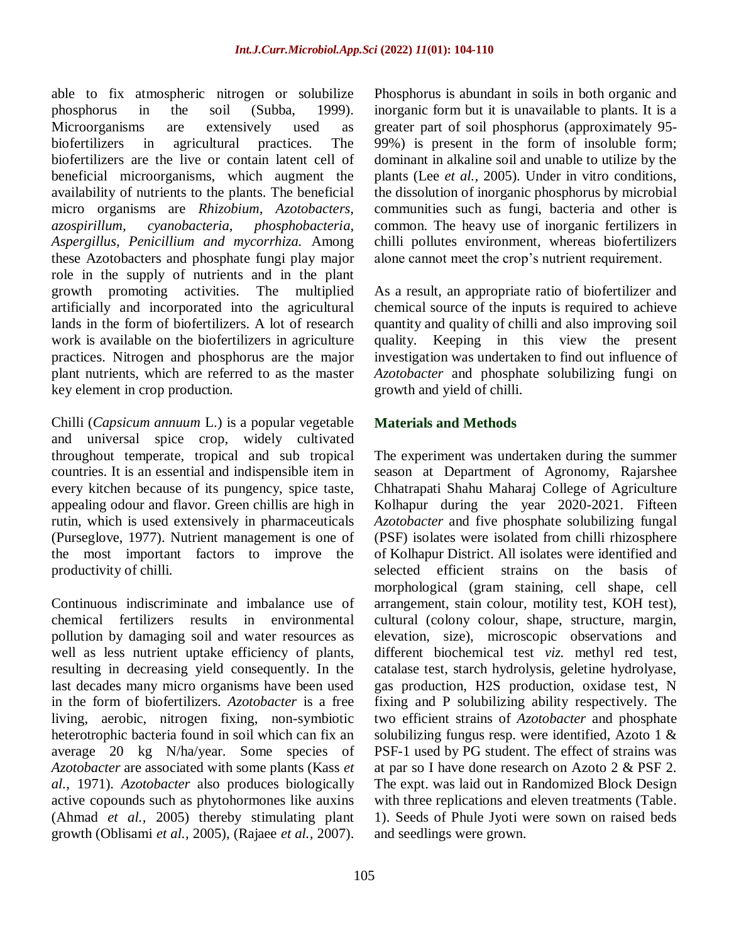able to fix atmospheric nitrogen or solubilize phosphorus in the soil (Subba, 1999). Microorganisms are extensively used as biofertilizers in agricultural practices. The biofertilizers are the live or contain latent cell of beneficial microorganisms, which augment the availability of nutrients to the plants. The beneficial micro organisms are *Rhizobium, Azotobacters, azospirillum, cyanobacteria, phosphobacteria, Aspergillus, Penicillium and mycorrhiza.* Among these Azotobacters and phosphate fungi play major role in the supply of nutrients and in the plant growth promoting activities. The multiplied artificially and incorporated into the agricultural lands in the form of biofertilizers. A lot of research work is available on the biofertilizers in agriculture practices. Nitrogen and phosphorus are the major plant nutrients, which are referred to as the master key element in crop production.

Chilli (*Capsicum annuum* L.) is a popular vegetable and universal spice crop, widely cultivated throughout temperate, tropical and sub tropical countries. It is an essential and indispensible item in every kitchen because of its pungency, spice taste, appealing odour and flavor. Green chillis are high in rutin, which is used extensively in pharmaceuticals (Purseglove, 1977). Nutrient management is one of the most important factors to improve the productivity of chilli.

Continuous indiscriminate and imbalance use of chemical fertilizers results in environmental pollution by damaging soil and water resources as well as less nutrient uptake efficiency of plants, resulting in decreasing yield consequently. In the last decades many micro organisms have been used in the form of biofertilizers. *Azotobacter* is a free living, aerobic, nitrogen fixing, non-symbiotic heterotrophic bacteria found in soil which can fix an average 20 kg N/ha/year. Some species of *Azotobacter* are associated with some plants (Kass *et al.,* 1971). *Azotobacter* also produces biologically active copounds such as phytohormones like auxins (Ahmad *et al.,* 2005) thereby stimulating plant growth (Oblisami *et al.,* 2005), (Rajaee *et al.,* 2007). Phosphorus is abundant in soils in both organic and inorganic form but it is unavailable to plants. It is a greater part of soil phosphorus (approximately 95- 99%) is present in the form of insoluble form; dominant in alkaline soil and unable to utilize by the plants (Lee *et al.,* 2005). Under in vitro conditions, the dissolution of inorganic phosphorus by microbial communities such as fungi, bacteria and other is common. The heavy use of inorganic fertilizers in chilli pollutes environment, whereas biofertilizers alone cannot meet the crop's nutrient requirement.

As a result, an appropriate ratio of biofertilizer and chemical source of the inputs is required to achieve quantity and quality of chilli and also improving soil quality. Keeping in this view the present investigation was undertaken to find out influence of *Azotobacter* and phosphate solubilizing fungi on growth and yield of chilli.

# **Materials and Methods**

The experiment was undertaken during the summer season at Department of Agronomy, Rajarshee Chhatrapati Shahu Maharaj College of Agriculture Kolhapur during the year 2020-2021. Fifteen *Azotobacter* and five phosphate solubilizing fungal (PSF) isolates were isolated from chilli rhizosphere of Kolhapur District. All isolates were identified and selected efficient strains on the basis of morphological (gram staining, cell shape, cell arrangement, stain colour, motility test, KOH test), cultural (colony colour, shape, structure, margin, elevation, size), microscopic observations and different biochemical test *viz.* methyl red test, catalase test, starch hydrolysis, geletine hydrolyase, gas production, H2S production, oxidase test, N fixing and P solubilizing ability respectively. The two efficient strains of *Azotobacter* and phosphate solubilizing fungus resp. were identified, Azoto 1 & PSF-1 used by PG student. The effect of strains was at par so I have done research on Azoto 2 & PSF 2. The expt. was laid out in Randomized Block Design with three replications and eleven treatments (Table. 1). Seeds of Phule Jyoti were sown on raised beds and seedlings were grown.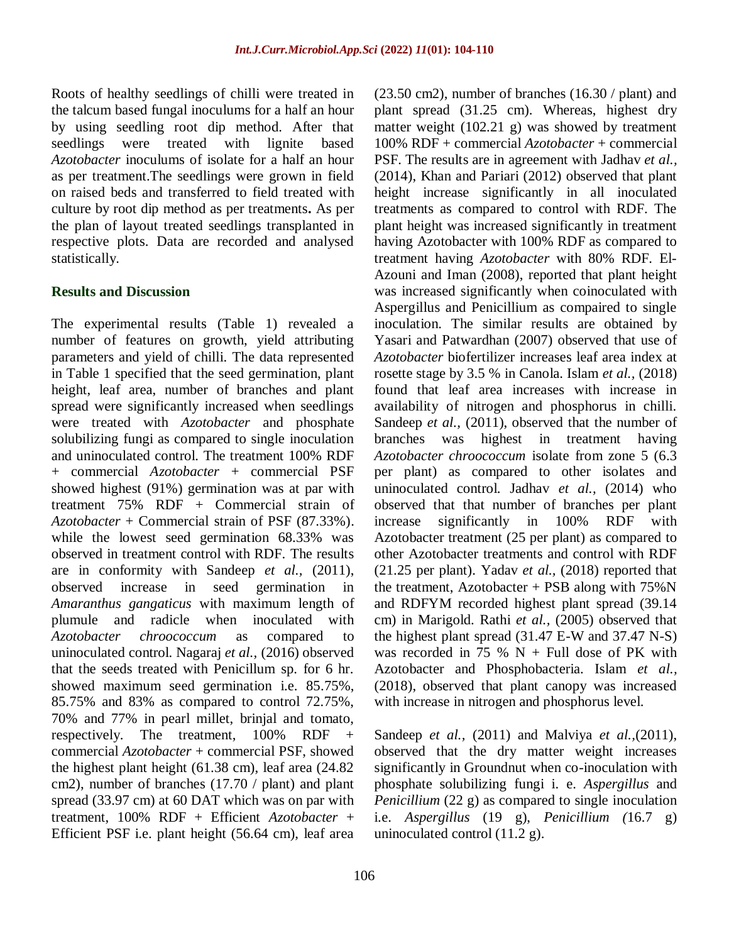Roots of healthy seedlings of chilli were treated in the talcum based fungal inoculums for a half an hour by using seedling root dip method. After that seedlings were treated with lignite based *Azotobacter* inoculums of isolate for a half an hour as per treatment.The seedlings were grown in field on raised beds and transferred to field treated with culture by root dip method as per treatments**.** As per the plan of layout treated seedlings transplanted in respective plots. Data are recorded and analysed statistically.

#### **Results and Discussion**

The experimental results (Table 1) revealed a number of features on growth, yield attributing parameters and yield of chilli. The data represented in Table 1 specified that the seed germination, plant height, leaf area, number of branches and plant spread were significantly increased when seedlings were treated with *Azotobacter* and phosphate solubilizing fungi as compared to single inoculation and uninoculated control. The treatment 100% RDF + commercial *Azotobacter* + commercial PSF showed highest (91%) germination was at par with treatment 75% RDF + Commercial strain of *Azotobacter* + Commercial strain of PSF (87.33%). while the lowest seed germination 68.33% was observed in treatment control with RDF. The results are in conformity with Sandeep *et al.,* (2011), observed increase in seed germination in *Amaranthus gangaticus* with maximum length of plumule and radicle when inoculated with *Azotobacter chroococcum* as compared to uninoculated control. Nagaraj *et al.,* (2016) observed that the seeds treated with Penicillum sp. for 6 hr. showed maximum seed germination i.e. 85.75%, 85.75% and 83% as compared to control 72.75%, 70% and 77% in pearl millet, brinjal and tomato, respectively. The treatment, 100% RDF + commercial *Azotobacter* + commercial PSF, showed the highest plant height (61.38 cm), leaf area (24.82 cm2), number of branches (17.70 / plant) and plant spread (33.97 cm) at 60 DAT which was on par with treatment, 100% RDF + Efficient *Azotobacter* + Efficient PSF i.e. plant height (56.64 cm), leaf area  $(23.50 \text{ cm}^2)$ , number of branches  $(16.30 / \text{plant})$  and plant spread (31.25 cm). Whereas, highest dry matter weight (102.21 g) was showed by treatment 100% RDF + commercial *Azotobacter* + commercial PSF. The results are in agreement with Jadhav *et al.,* (2014), Khan and Pariari (2012) observed that plant height increase significantly in all inoculated treatments as compared to control with RDF. The plant height was increased significantly in treatment having Azotobacter with 100% RDF as compared to treatment having *Azotobacter* with 80% RDF. El-Azouni and Iman (2008), reported that plant height was increased significantly when coinoculated with Aspergillus and Penicillium as compaired to single inoculation. The similar results are obtained by Yasari and Patwardhan (2007) observed that use of *Azotobacter* biofertilizer increases leaf area index at rosette stage by 3.5 % in Canola. Islam *et al.,* (2018) found that leaf area increases with increase in availability of nitrogen and phosphorus in chilli. Sandeep *et al.,* (2011), observed that the number of branches was highest in treatment having *Azotobacter chroococcum* isolate from zone 5 (6.3 per plant) as compared to other isolates and uninoculated control. Jadhav *et al.,* (2014) who observed that that number of branches per plant increase significantly in 100% RDF with Azotobacter treatment (25 per plant) as compared to other Azotobacter treatments and control with RDF (21.25 per plant). Yadav *et al.,* (2018) reported that the treatment, Azotobacter  $+$  PSB along with  $75\%$  N and RDFYM recorded highest plant spread (39.14 cm) in Marigold. Rathi *et al.,* (2005) observed that the highest plant spread (31.47 E-W and 37.47 N-S) was recorded in 75 %  $N +$  Full dose of PK with Azotobacter and Phosphobacteria. Islam *et al.,* (2018), observed that plant canopy was increased with increase in nitrogen and phosphorus level.

Sandeep *et al.,* (2011) and Malviya *et al.,*(2011), observed that the dry matter weight increases significantly in Groundnut when co-inoculation with phosphate solubilizing fungi i. e. *Aspergillus* and *Penicillium* (22 g) as compared to single inoculation i.e. *Aspergillus* (19 g), *Penicillium (*16.7 g) uninoculated control  $(11.2 \text{ g})$ .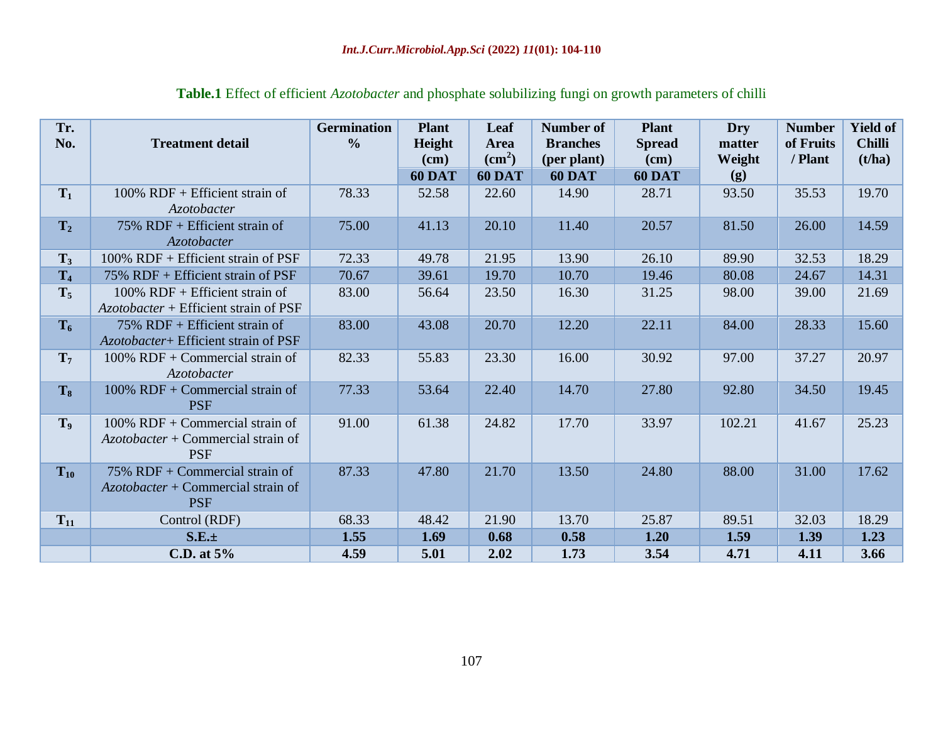| Tr.<br>No.     | <b>Treatment detail</b>                                                                  | <b>Germination</b><br>$\frac{0}{0}$ | <b>Plant</b><br>Height<br>(cm)<br><b>60 DAT</b> | Leaf<br>Area<br>$\text{cm}^2$ )<br><b>60 DAT</b> | Number of<br><b>Branches</b><br>(per plant)<br><b>60 DAT</b> | <b>Plant</b><br><b>Spread</b><br>(cm)<br><b>60 DAT</b> | Dry<br>matter<br>Weight<br>(g) | <b>Number</b><br>of Fruits<br>/ Plant | <b>Yield of</b><br><b>Chilli</b><br>(t/ha) |
|----------------|------------------------------------------------------------------------------------------|-------------------------------------|-------------------------------------------------|--------------------------------------------------|--------------------------------------------------------------|--------------------------------------------------------|--------------------------------|---------------------------------------|--------------------------------------------|
| $T_1$          | $100\%$ RDF + Efficient strain of<br><b>Azotobacter</b>                                  | 78.33                               | 52.58                                           | 22.60                                            | 14.90                                                        | 28.71                                                  | 93.50                          | 35.53                                 | 19.70                                      |
| $T_2$          | $75\%$ RDF + Efficient strain of<br>Azotobacter                                          | 75.00                               | 41.13                                           | 20.10                                            | 11.40                                                        | 20.57                                                  | 81.50                          | 26.00                                 | 14.59                                      |
| $T_3$          | 100% RDF + Efficient strain of PSF                                                       | 72.33                               | 49.78                                           | 21.95                                            | 13.90                                                        | 26.10                                                  | 89.90                          | 32.53                                 | 18.29                                      |
| T <sub>4</sub> | 75% RDF + Efficient strain of PSF                                                        | 70.67                               | 39.61                                           | 19.70                                            | 10.70                                                        | 19.46                                                  | 80.08                          | 24.67                                 | 14.31                                      |
| $T_5$          | $100\%$ RDF + Efficient strain of<br>Azotobacter + Efficient strain of PSF               | 83.00                               | 56.64                                           | 23.50                                            | 16.30                                                        | 31.25                                                  | 98.00                          | 39.00                                 | 21.69                                      |
| $T_6$          | $75\%$ RDF + Efficient strain of<br>Azotobacter+ Efficient strain of PSF                 | 83.00                               | 43.08                                           | 20.70                                            | 12.20                                                        | 22.11                                                  | 84.00                          | 28.33                                 | 15.60                                      |
| $\mathbf{T}_7$ | $100\%$ RDF + Commercial strain of<br><i>Azotobacter</i>                                 | 82.33                               | 55.83                                           | 23.30                                            | 16.00                                                        | 30.92                                                  | 97.00                          | 37.27                                 | 20.97                                      |
| $T_8$          | $100\%$ RDF + Commercial strain of<br><b>PSF</b>                                         | 77.33                               | 53.64                                           | 22.40                                            | 14.70                                                        | 27.80                                                  | 92.80                          | 34.50                                 | 19.45                                      |
| $\mathbf{T}_9$ | $100\%$ RDF + Commercial strain of<br>$Azotobacter + Commercial strain of$<br><b>PSF</b> | 91.00                               | 61.38                                           | 24.82                                            | 17.70                                                        | 33.97                                                  | 102.21                         | 41.67                                 | 25.23                                      |
| $T_{10}$       | 75% RDF + Commercial strain of<br>$Azotobacter + Commercial strain of$<br><b>PSF</b>     | 87.33                               | 47.80                                           | 21.70                                            | 13.50                                                        | 24.80                                                  | 88.00                          | 31.00                                 | 17.62                                      |
| $T_{11}$       | Control (RDF)                                                                            | 68.33                               | 48.42                                           | 21.90                                            | 13.70                                                        | 25.87                                                  | 89.51                          | 32.03                                 | 18.29                                      |
|                | S.E.±                                                                                    | 1.55                                | 1.69                                            | 0.68                                             | 0.58                                                         | 1.20                                                   | 1.59                           | 1.39                                  | 1.23                                       |
|                | C.D. at $5%$                                                                             | 4.59                                | 5.01                                            | 2.02                                             | 1.73                                                         | 3.54                                                   | 4.71                           | 4.11                                  | 3.66                                       |

# **Table.1** Effect of efficient *Azotobacter* and phosphate solubilizing fungi on growth parameters of chilli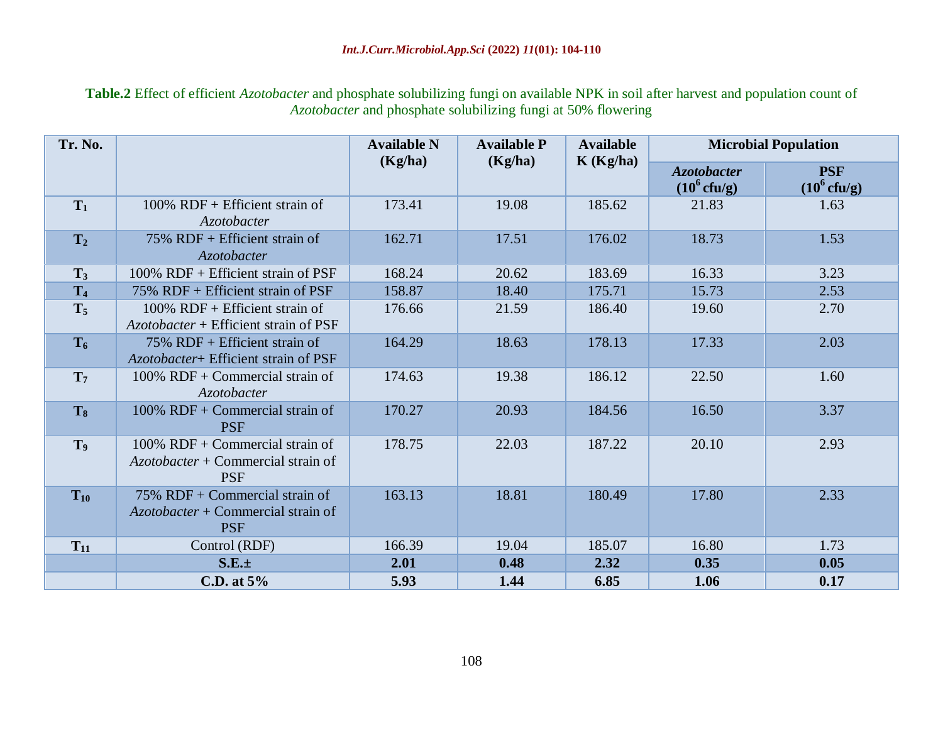**Table.2** Effect of efficient *Azotobacter* and phosphate solubilizing fungi on available NPK in soil after harvest and population count of *Azotobacter* and phosphate solubilizing fungi at 50% flowering

| Tr. No.        |                                                                                          | <b>Available N</b><br>(Kg/ha) | <b>Available P</b><br>(Kg/ha) | <b>Available</b><br>K(Kg/ha) | <b>Microbial Population</b>                 |                                     |  |
|----------------|------------------------------------------------------------------------------------------|-------------------------------|-------------------------------|------------------------------|---------------------------------------------|-------------------------------------|--|
|                |                                                                                          |                               |                               |                              | <b>Azotobacter</b><br>$(10^6 \text{ctu/g})$ | <b>PSF</b><br>$(10^6 \text{ctu/g})$ |  |
| $T_1$          | $100\%$ RDF + Efficient strain of<br>Azotobacter                                         | 173.41                        | 19.08                         | 185.62                       | 21.83                                       | 1.63                                |  |
| T <sub>2</sub> | $75\%$ RDF + Efficient strain of<br>Azotobacter                                          | 162.71                        | 17.51                         | 176.02                       | 18.73                                       | 1.53                                |  |
| $T_3$          | $100\%$ RDF + Efficient strain of PSF                                                    | 168.24                        | 20.62                         | 183.69                       | 16.33                                       | 3.23                                |  |
| T <sub>4</sub> | 75% RDF + Efficient strain of PSF                                                        | 158.87                        | 18.40                         | 175.71                       | 15.73                                       | 2.53                                |  |
| $T_5$          | $100\%$ RDF + Efficient strain of<br>Azotobacter + Efficient strain of PSF               | 176.66                        | 21.59                         | 186.40                       | 19.60                                       | 2.70                                |  |
| $T_6$          | $75\%$ RDF + Efficient strain of<br>Azotobacter+ Efficient strain of PSF                 | 164.29                        | 18.63                         | 178.13                       | 17.33                                       | 2.03                                |  |
| $\mathbf{T}_7$ | $100\%$ RDF + Commercial strain of<br><b>Azotobacter</b>                                 | 174.63                        | 19.38                         | 186.12                       | 22.50                                       | 1.60                                |  |
| T <sub>8</sub> | $100\%$ RDF + Commercial strain of<br><b>PSF</b>                                         | 170.27                        | 20.93                         | 184.56                       | 16.50                                       | 3.37                                |  |
| T <sub>9</sub> | $100\%$ RDF + Commercial strain of<br>$Azotobacter + Commercial strain of$<br><b>PSF</b> | 178.75                        | 22.03                         | 187.22                       | 20.10                                       | 2.93                                |  |
| $T_{10}$       | 75% RDF + Commercial strain of<br>$Azotobacter + Commercial strain of$<br><b>PSF</b>     | 163.13                        | 18.81                         | 180.49                       | 17.80                                       | 2.33                                |  |
| $T_{11}$       | Control (RDF)                                                                            | 166.39                        | 19.04                         | 185.07                       | 16.80                                       | 1.73                                |  |
|                | $S.E. \pm$                                                                               | 2.01                          | 0.48                          | 2.32                         | 0.35                                        | 0.05                                |  |
|                | C.D. at $5%$                                                                             | 5.93                          | 1.44                          | 6.85                         | 1.06                                        | 0.17                                |  |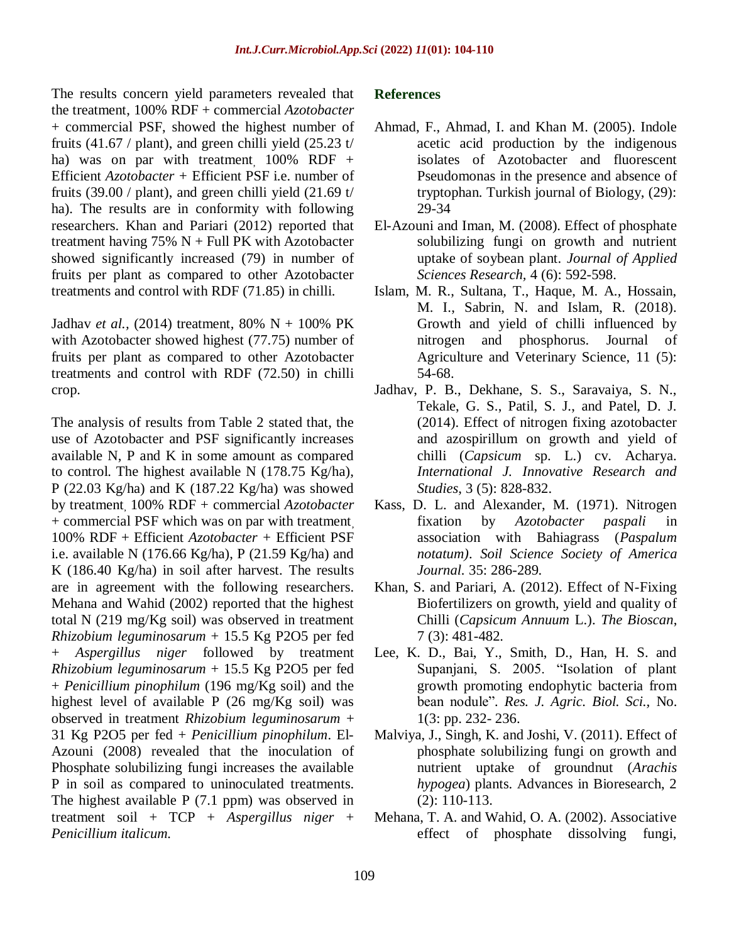The results concern yield parameters revealed that the treatment, 100% RDF + commercial *Azotobacter*  + commercial PSF, showed the highest number of fruits  $(41.67 /$  plant), and green chilli yield  $(25.23 t/$ ha) was on par with treatment  $100\%$  RDF + Efficient *Azotobacter +* Efficient PSF i.e. number of fruits  $(39.00 / \text{plant})$ , and green chilli yield  $(21.69 t)$ ha). The results are in conformity with following researchers. Khan and Pariari (2012) reported that treatment having  $75\%$  N + Full PK with Azotobacter showed significantly increased (79) in number of fruits per plant as compared to other Azotobacter treatments and control with RDF (71.85) in chilli.

Jadhav *et al.,* (2014) treatment, 80% N + 100% PK with Azotobacter showed highest (77.75) number of fruits per plant as compared to other Azotobacter treatments and control with RDF (72.50) in chilli crop.

The analysis of results from Table 2 stated that, the use of Azotobacter and PSF significantly increases available N, P and K in some amount as compared to control. The highest available N (178.75 Kg/ha), P (22.03 Kg/ha) and K (187.22 Kg/ha) was showed by treatment, 100% RDF + commercial *Azotobacter*  + commercial PSF which was on par with treatment, 100% RDF + Efficient *Azotobacter +* Efficient PSF i.e. available N (176.66 Kg/ha), P (21.59 Kg/ha) and K (186.40 Kg/ha) in soil after harvest. The results are in agreement with the following researchers. Mehana and Wahid (2002) reported that the highest total N (219 mg/Kg soil) was observed in treatment *Rhizobium leguminosarum* + 15.5 Kg P2O5 per fed + *Aspergillus niger* followed by treatment *Rhizobium leguminosarum* + 15.5 Kg P2O5 per fed + *Penicillium pinophilum* (196 mg/Kg soil) and the highest level of available P (26 mg/Kg soil) was observed in treatment *Rhizobium leguminosarum* + 31 Kg P2O5 per fed + *Penicillium pinophilum*. El-Azouni (2008) revealed that the inoculation of Phosphate solubilizing fungi increases the available P in soil as compared to uninoculated treatments. The highest available P (7.1 ppm) was observed in treatment soil + TCP + *Aspergillus niger* + *Penicillium italicum.*

#### **References**

- Ahmad, F., Ahmad, I. and Khan M. (2005). Indole acetic acid production by the indigenous isolates of Azotobacter and fluorescent Pseudomonas in the presence and absence of tryptophan. Turkish journal of Biology, (29): 29-34
- El-Azouni and Iman, M. (2008). Effect of phosphate solubilizing fungi on growth and nutrient uptake of soybean plant. *Journal of Applied Sciences Research,* 4 (6): 592-598.
- Islam, M. R., Sultana, T., Haque, M. A., Hossain, M. I., Sabrin, N. and Islam, R. (2018). Growth and yield of chilli influenced by nitrogen and phosphorus. Journal of Agriculture and Veterinary Science, 11 (5): 54-68.
- Jadhav, P. B., Dekhane, S. S., Saravaiya, S. N., Tekale, G. S., Patil, S. J., and Patel, D. J. (2014). Effect of nitrogen fixing azotobacter and azospirillum on growth and yield of chilli (*Capsicum* sp. L.) cv. Acharya. *International J. Innovative Research and Studies*, 3 (5): 828-832.
- Kass, D. L. and Alexander, M. (1971). Nitrogen fixation by *Azotobacter paspali* in association with Bahiagrass (*Paspalum notatum)*. *Soil Science Society of America Journal.* 35: 286-289.
- Khan, S. and Pariari, A. (2012). Effect of N-Fixing Biofertilizers on growth, yield and quality of Chilli (*Capsicum Annuum* L.). *The Bioscan*, 7 (3): 481-482.
- Lee, K. D., Bai, Y., Smith, D., Han, H. S. and Supanjani, S. 2005. "Isolation of plant growth promoting endophytic bacteria from bean nodule"*. Res. J. Agric. Biol. Sci.,* No. 1(3: pp. 232- 236.
- Malviya, J., Singh, K. and Joshi, V. (2011). Effect of phosphate solubilizing fungi on growth and nutrient uptake of groundnut (*Arachis hypogea*) plants. Advances in Bioresearch, 2 (2): 110-113.
- Mehana, T. A. and Wahid, O. A. (2002). Associative effect of phosphate dissolving fungi,